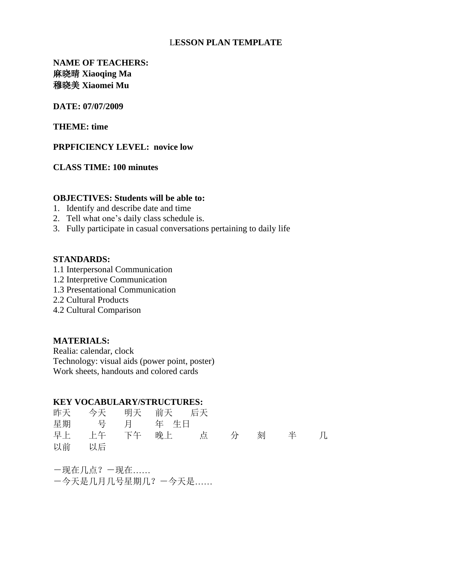# L**ESSON PLAN TEMPLATE**

# **NAME OF TEACHERS:**  麻晓晴 **Xiaoqing Ma** 穆晓美 **Xiaomei Mu**

#### **DATE: 07/07/2009**

**THEME: time** 

#### **PRPFICIENCY LEVEL: novice low**

# **CLASS TIME: 100 minutes**

### **OBJECTIVES: Students will be able to:**

- 1. Identify and describe date and time
- 2. Tell what one's daily class schedule is.
- 3. Fully participate in casual conversations pertaining to daily life

#### **STANDARDS:**

- 1.1 Interpersonal Communication
- 1.2 Interpretive Communication
- 1.3 Presentational Communication
- 2.2 Cultural Products
- 4.2 Cultural Comparison

## **MATERIALS:**

Realia: calendar, clock Technology: visual aids (power point, poster) Work sheets, handouts and colored cards

# **KEY VOCABULARY/STRUCTURES:**

| 昨天 今天 明天 前天 后天 |  |                                   |  |  |
|----------------|--|-----------------------------------|--|--|
| 星期 号 月 年生日     |  |                                   |  |  |
|                |  | 早上  上午  下午  晚上   点   分  刻   半   几 |  |  |
| 以前 以后          |  |                                   |  |  |

-现在几点?-现在…… -今天是几月几号星期几?-今天是……